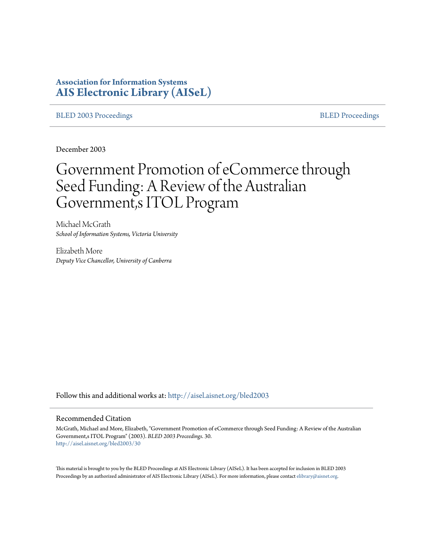# **Association for Information Systems [AIS Electronic Library \(AISeL\)](http://aisel.aisnet.org?utm_source=aisel.aisnet.org%2Fbled2003%2F30&utm_medium=PDF&utm_campaign=PDFCoverPages)**

[BLED 2003 Proceedings](http://aisel.aisnet.org/bled2003?utm_source=aisel.aisnet.org%2Fbled2003%2F30&utm_medium=PDF&utm_campaign=PDFCoverPages) and the state of the state of the [BLED Proceedings](http://aisel.aisnet.org/bled?utm_source=aisel.aisnet.org%2Fbled2003%2F30&utm_medium=PDF&utm_campaign=PDFCoverPages) and the BLED Proceedings and the BLED Proceedings and the BLED Proceedings and the BLED Proceedings and the BLED Proceedings and the BLED Proceedings

December 2003

# Government Promotion of eCommerce through Seed Funding: A Review of the Australian Government,s ITOL Program

Michael McGrath *School of Information Systems, Victoria University*

Elizabeth More *Deputy Vice Chancellor, University of Canberra*

Follow this and additional works at: [http://aisel.aisnet.org/bled2003](http://aisel.aisnet.org/bled2003?utm_source=aisel.aisnet.org%2Fbled2003%2F30&utm_medium=PDF&utm_campaign=PDFCoverPages)

#### Recommended Citation

McGrath, Michael and More, Elizabeth, "Government Promotion of eCommerce through Seed Funding: A Review of the Australian Government,s ITOL Program" (2003). *BLED 2003 Proceedings*. 30. [http://aisel.aisnet.org/bled2003/30](http://aisel.aisnet.org/bled2003/30?utm_source=aisel.aisnet.org%2Fbled2003%2F30&utm_medium=PDF&utm_campaign=PDFCoverPages)

This material is brought to you by the BLED Proceedings at AIS Electronic Library (AISeL). It has been accepted for inclusion in BLED 2003 Proceedings by an authorized administrator of AIS Electronic Library (AISeL). For more information, please contact [elibrary@aisnet.org](mailto:elibrary@aisnet.org%3E).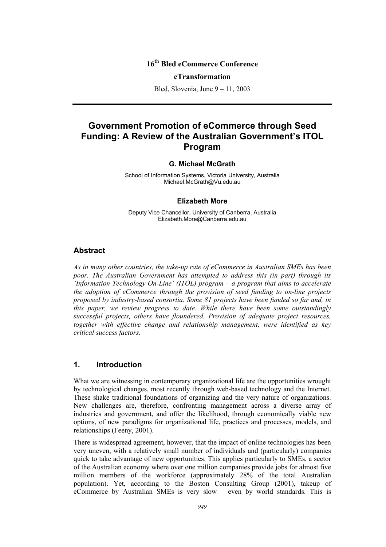# **16th Bled eCommerce Conference**

#### **eTransformation**

Bled, Slovenia, June 9 – 11, 2003

# **Government Promotion of eCommerce through Seed Funding: A Review of the Australian Government's ITOL Program**

#### **G. Michael McGrath**

School of Information Systems, Victoria University, Australia Michael.McGrath@Vu.edu.au

#### **Elizabeth More**

Deputy Vice Chancellor, University of Canberra, Australia Elizabeth.More@Canberra.edu.au

# **Abstract**

*As in many other countries, the take-up rate of eCommerce in Australian SMEs has been poor. The Australian Government has attempted to address this (in part) through its 'Information Technology On-Line' (ITOL) program – a program that aims to accelerate the adoption of eCommerce through the provision of seed funding to on-line projects proposed by industry-based consortia. Some 81 projects have been funded so far and, in this paper, we review progress to date. While there have been some outstandingly successful projects, others have floundered. Provision of adequate project resources, together with effective change and relationship management, were identified as key critical success factors.* 

# **1. Introduction**

What we are witnessing in contemporary organizational life are the opportunities wrought by technological changes, most recently through web-based technology and the Internet. These shake traditional foundations of organizing and the very nature of organizations. New challenges are, therefore, confronting management across a diverse array of industries and government, and offer the likelihood, through economically viable new options, of new paradigms for organizational life, practices and processes, models, and relationships (Feeny, 2001).

There is widespread agreement, however, that the impact of online technologies has been very uneven, with a relatively small number of individuals and (particularly) companies quick to take advantage of new opportunities. This applies particularly to SMEs, a sector of the Australian economy where over one million companies provide jobs for almost five million members of the workforce (approximately 28% of the total Australian population). Yet, according to the Boston Consulting Group (2001), takeup of eCommerce by Australian SMEs is very slow – even by world standards. This is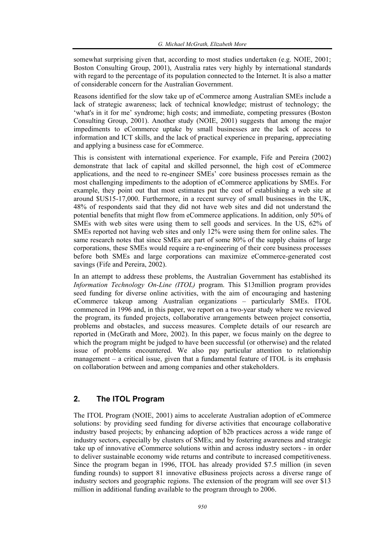somewhat surprising given that, according to most studies undertaken (e.g. NOIE, 2001; Boston Consulting Group, 2001), Australia rates very highly by international standards with regard to the percentage of its population connected to the Internet. It is also a matter of considerable concern for the Australian Government.

Reasons identified for the slow take up of eCommerce among Australian SMEs include a lack of strategic awareness; lack of technical knowledge; mistrust of technology; the 'what's in it for me' syndrome; high costs; and immediate, competing pressures (Boston Consulting Group, 2001). Another study (NOIE, 2001) suggests that among the major impediments to eCommerce uptake by small businesses are the lack of access to information and ICT skills, and the lack of practical experience in preparing, appreciating and applying a business case for eCommerce.

This is consistent with international experience. For example, Fife and Pereira (2002) demonstrate that lack of capital and skilled personnel, the high cost of eCommerce applications, and the need to re-engineer SMEs' core business processes remain as the most challenging impediments to the adoption of eCommerce applications by SMEs. For example, they point out that most estimates put the cost of establishing a web site at around \$US15-17,000. Furthermore, in a recent survey of small businesses in the UK, 48% of respondents said that they did not have web sites and did not understand the potential benefits that might flow from eCommerce applications. In addition, only 50% of SMEs with web sites were using them to sell goods and services. In the US, 62% of SMEs reported not having web sites and only 12% were using them for online sales. The same research notes that since SMEs are part of some 80% of the supply chains of large corporations, these SMEs would require a re-engineering of their core business processes before both SMEs and large corporations can maximize eCommerce-generated cost savings (Fife and Pereira, 2002).

In an attempt to address these problems, the Australian Government has established its *Information Technology On-Line (ITOL)* program. This \$13million program provides seed funding for diverse online activities, with the aim of encouraging and hastening eCommerce takeup among Australian organizations – particularly SMEs. ITOL commenced in 1996 and, in this paper, we report on a two-year study where we reviewed the program, its funded projects, collaborative arrangements between project consortia, problems and obstacles, and success measures. Complete details of our research are reported in (McGrath and More, 2002). In this paper, we focus mainly on the degree to which the program might be judged to have been successful (or otherwise) and the related issue of problems encountered. We also pay particular attention to relationship management – a critical issue, given that a fundamental feature of ITOL is its emphasis on collaboration between and among companies and other stakeholders.

# **2. The ITOL Program**

The ITOL Program (NOIE, 2001) aims to accelerate Australian adoption of eCommerce solutions: by providing seed funding for diverse activities that encourage collaborative industry based projects; by enhancing adoption of b2b practices across a wide range of industry sectors, especially by clusters of SMEs; and by fostering awareness and strategic take up of innovative eCommerce solutions within and across industry sectors - in order to deliver sustainable economy wide returns and contribute to increased competitiveness. Since the program began in 1996, ITOL has already provided \$7.5 million (in seven funding rounds) to support 81 innovative eBusiness projects across a diverse range of industry sectors and geographic regions. The extension of the program will see over \$13 million in additional funding available to the program through to 2006.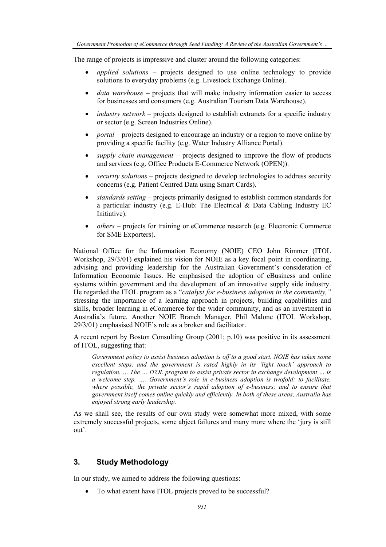The range of projects is impressive and cluster around the following categories:

- *applied solutions* projects designed to use online technology to provide solutions to everyday problems (e.g. Livestock Exchange Online).
- *data warehouse* projects that will make industry information easier to access for businesses and consumers (e.g. Australian Tourism Data Warehouse).
- *industry network* projects designed to establish extranets for a specific industry or sector (e.g. Screen Industries Online).
- *portal* projects designed to encourage an industry or a region to move online by providing a specific facility (e.g. Water Industry Alliance Portal).
- *supply chain management* projects designed to improve the flow of products and services (e.g. Office Products E-Commerce Network (OPEN)).
- *security solutions* projects designed to develop technologies to address security concerns (e.g. Patient Centred Data using Smart Cards).
- *standards setting* projects primarily designed to establish common standards for a particular industry (e.g. E-Hub: The Electrical & Data Cabling Industry EC Initiative).
- *others* projects for training or eCommerce research (e.g. Electronic Commerce for SME Exporters).

National Office for the Information Economy (NOIE) CEO John Rimmer (ITOL Workshop, 29/3/01) explained his vision for NOIE as a key focal point in coordinating, advising and providing leadership for the Australian Government's consideration of Information Economic Issues. He emphasised the adoption of eBusiness and online systems within government and the development of an innovative supply side industry. He regarded the ITOL program as a "*catalyst for e-business adoption in the community,"* stressing the importance of a learning approach in projects, building capabilities and skills, broader learning in eCommerce for the wider community, and as an investment in Australia's future. Another NOIE Branch Manager, Phil Malone (ITOL Workshop, 29/3/01) emphasised NOIE's role as a broker and facilitator.

A recent report by Boston Consulting Group (2001; p.10) was positive in its assessment of ITOL, suggesting that:

*Government policy to assist business adoption is off to a good start. NOIE has taken some excellent steps, and the government is rated highly in its 'light touch' approach to regulation. … The … ITOL program to assist private sector in exchange development … is a welcome step. …. Government's role in e-business adoption is twofold: to facilitate, where possible, the private sector's rapid adoption of e-business; and to ensure that government itself comes online quickly and efficiently. In both of these areas, Australia has enjoyed strong early leadership.* 

As we shall see, the results of our own study were somewhat more mixed, with some extremely successful projects, some abject failures and many more where the 'jury is still out'.

# **3. Study Methodology**

In our study, we aimed to address the following questions:

• To what extent have ITOL projects proved to be successful?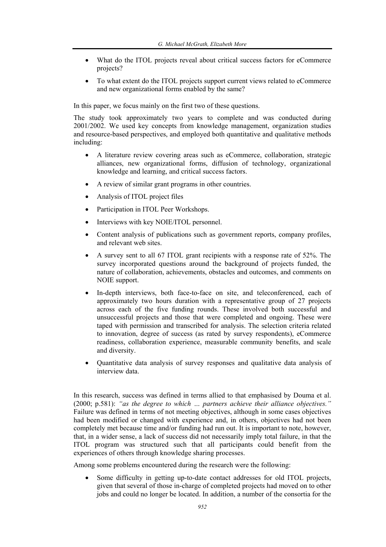- What do the ITOL projects reveal about critical success factors for eCommerce projects?
- To what extent do the ITOL projects support current views related to eCommerce and new organizational forms enabled by the same?

In this paper, we focus mainly on the first two of these questions.

The study took approximately two years to complete and was conducted during 2001/2002. We used key concepts from knowledge management, organization studies and resource-based perspectives, and employed both quantitative and qualitative methods including:

- A literature review covering areas such as eCommerce, collaboration, strategic alliances, new organizational forms, diffusion of technology, organizational knowledge and learning, and critical success factors.
- A review of similar grant programs in other countries.
- Analysis of ITOL project files
- Participation in ITOL Peer Workshops.
- Interviews with key NOIE/ITOL personnel.
- Content analysis of publications such as government reports, company profiles, and relevant web sites.
- A survey sent to all 67 ITOL grant recipients with a response rate of 52%. The survey incorporated questions around the background of projects funded, the nature of collaboration, achievements, obstacles and outcomes, and comments on NOIE support.
- In-depth interviews, both face-to-face on site, and teleconferenced, each of approximately two hours duration with a representative group of 27 projects across each of the five funding rounds. These involved both successful and unsuccessful projects and those that were completed and ongoing. These were taped with permission and transcribed for analysis. The selection criteria related to innovation, degree of success (as rated by survey respondents), eCommerce readiness, collaboration experience, measurable community benefits, and scale and diversity.
- Quantitative data analysis of survey responses and qualitative data analysis of interview data.

In this research, success was defined in terms allied to that emphasised by Douma et al. (2000; p.581): *"as the degree to which … partners achieve their alliance objectives."* Failure was defined in terms of not meeting objectives, although in some cases objectives had been modified or changed with experience and, in others, objectives had not been completely met because time and/or funding had run out. It is important to note, however, that, in a wider sense, a lack of success did not necessarily imply total failure, in that the ITOL program was structured such that all participants could benefit from the experiences of others through knowledge sharing processes.

Among some problems encountered during the research were the following:

• Some difficulty in getting up-to-date contact addresses for old ITOL projects, given that several of those in-charge of completed projects had moved on to other jobs and could no longer be located. In addition, a number of the consortia for the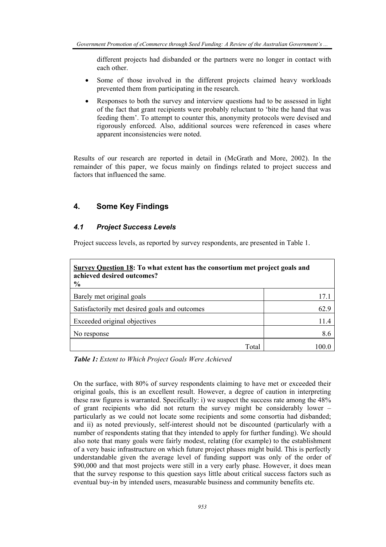different projects had disbanded or the partners were no longer in contact with each other.

- Some of those involved in the different projects claimed heavy workloads prevented them from participating in the research.
- Responses to both the survey and interview questions had to be assessed in light of the fact that grant recipients were probably reluctant to 'bite the hand that was feeding them'. To attempt to counter this, anonymity protocols were devised and rigorously enforced. Also, additional sources were referenced in cases where apparent inconsistencies were noted.

Results of our research are reported in detail in (McGrath and More, 2002). In the remainder of this paper, we focus mainly on findings related to project success and factors that influenced the same.

# **4. Some Key Findings**

## *4.1 Project Success Levels*

Project success levels, as reported by survey respondents, are presented in Table 1.

| Survey Question 18: To what extent has the consortium met project goals and<br>achieved desired outcomes?<br>$\frac{6}{6}$ |      |
|----------------------------------------------------------------------------------------------------------------------------|------|
| Barely met original goals                                                                                                  | 17.1 |
| Satisfactorily met desired goals and outcomes                                                                              | 62.9 |
| Exceeded original objectives                                                                                               | 11.4 |
| No response                                                                                                                | 8.6  |
| Total                                                                                                                      |      |

*Table 1: Extent to Which Project Goals Were Achieved* 

On the surface, with 80% of survey respondents claiming to have met or exceeded their original goals, this is an excellent result. However, a degree of caution in interpreting these raw figures is warranted. Specifically: i) we suspect the success rate among the 48% of grant recipients who did not return the survey might be considerably lower – particularly as we could not locate some recipients and some consortia had disbanded; and ii) as noted previously, self-interest should not be discounted (particularly with a number of respondents stating that they intended to apply for further funding). We should also note that many goals were fairly modest, relating (for example) to the establishment of a very basic infrastructure on which future project phases might build. This is perfectly understandable given the average level of funding support was only of the order of \$90,000 and that most projects were still in a very early phase. However, it does mean that the survey response to this question says little about critical success factors such as eventual buy-in by intended users, measurable business and community benefits etc.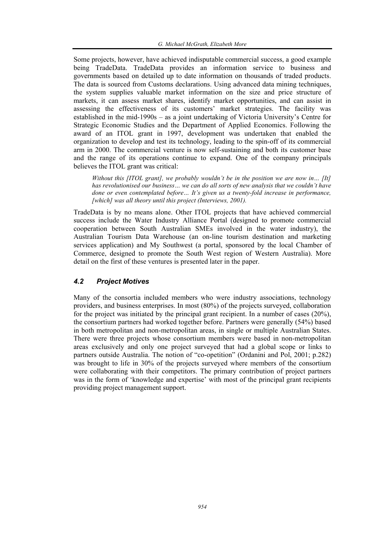Some projects, however, have achieved indisputable commercial success, a good example being TradeData. TradeData provides an information service to business and governments based on detailed up to date information on thousands of traded products. The data is sourced from Customs declarations. Using advanced data mining techniques, the system supplies valuable market information on the size and price structure of markets, it can assess market shares, identify market opportunities, and can assist in assessing the effectiveness of its customers' market strategies. The facility was established in the mid-1990s – as a joint undertaking of Victoria University's Centre for Strategic Economic Studies and the Department of Applied Economics. Following the award of an ITOL grant in 1997, development was undertaken that enabled the organization to develop and test its technology, leading to the spin-off of its commercial arm in 2000. The commercial venture is now self-sustaining and both its customer base and the range of its operations continue to expand. One of the company principals believes the ITOL grant was critical:

*Without this [ITOL grant], we probably wouldn't be in the position we are now in… [It] has revolutionised our business… we can do all sorts of new analysis that we couldn't have done or even contemplated before… It's given us a twenty-fold increase in performance, [which] was all theory until this project (Interviews, 2001).* 

TradeData is by no means alone. Other ITOL projects that have achieved commercial success include the Water Industry Alliance Portal (designed to promote commercial cooperation between South Australian SMEs involved in the water industry), the Australian Tourism Data Warehouse (an on-line tourism destination and marketing services application) and My Southwest (a portal, sponsored by the local Chamber of Commerce, designed to promote the South West region of Western Australia). More detail on the first of these ventures is presented later in the paper.

# *4.2 Project Motives*

Many of the consortia included members who were industry associations, technology providers, and business enterprises. In most (80%) of the projects surveyed, collaboration for the project was initiated by the principal grant recipient. In a number of cases (20%), the consortium partners had worked together before. Partners were generally (54%) based in both metropolitan and non-metropolitan areas, in single or multiple Australian States. There were three projects whose consortium members were based in non-metropolitan areas exclusively and only one project surveyed that had a global scope or links to partners outside Australia. The notion of "co-opetition" (Ordanini and Pol, 2001; p.282) was brought to life in 30% of the projects surveyed where members of the consortium were collaborating with their competitors. The primary contribution of project partners was in the form of 'knowledge and expertise' with most of the principal grant recipients providing project management support.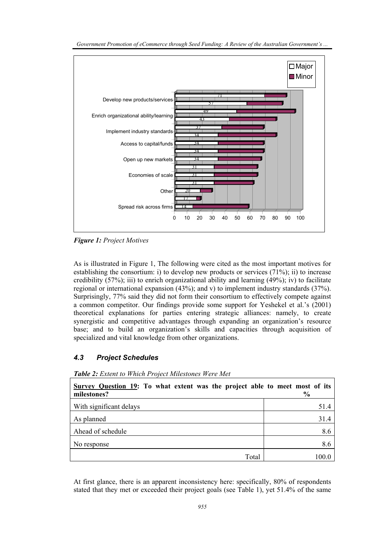

*Government Promotion of eCommerce through Seed Funding: A Review of the Australian Government's ...* 

*Figure 1: Project Motives* 

As is illustrated in Figure 1, The following were cited as the most important motives for establishing the consortium: i) to develop new products or services (71%); ii) to increase credibility  $(57\%)$ ; iii) to enrich organizational ability and learning  $(49\%)$ ; iv) to facilitate regional or international expansion (43%); and v) to implement industry standards (37%). Surprisingly, 77% said they did not form their consortium to effectively compete against a common competitor. Our findings provide some support for Yeshekel et al.'s (2001) theoretical explanations for parties entering strategic alliances: namely, to create synergistic and competitive advantages through expanding an organization's resource base; and to build an organization's skills and capacities through acquisition of specialized and vital knowledge from other organizations.

# *4.3 Project Schedules*

| Table 2: Extent to Which Project Milestones Were Met |
|------------------------------------------------------|
|------------------------------------------------------|

| Survey Question 19: To what extent was the project able to meet most of its<br>milestones? | $\frac{6}{9}$ |
|--------------------------------------------------------------------------------------------|---------------|
| With significant delays                                                                    | 51.4          |
| As planned                                                                                 | 31.4          |
| Ahead of schedule                                                                          | 8.6           |
| No response                                                                                | 8.6           |
| Total                                                                                      | 100.0         |

At first glance, there is an apparent inconsistency here: specifically, 80% of respondents stated that they met or exceeded their project goals (see Table 1), yet 51.4% of the same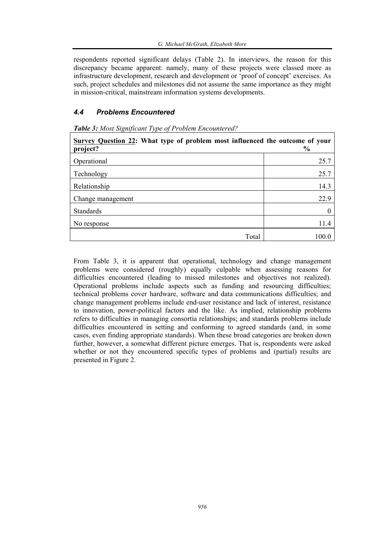respondents reported significant delays (Table 2). In interviews, the reason for this discrepancy became apparent: namely, many of these projects were classed more as infrastructure development, research and development or 'proof of concept' exercises. As such, project schedules and milestones did not assume the same importance as they might in mission-critical, mainstream information systems developments.

## *4.4 Problems Encountered*

| Survey Question 22: What type of problem most influenced the outcome of your<br>project? | $\frac{6}{9}$ |
|------------------------------------------------------------------------------------------|---------------|
| Operational                                                                              | 25.7          |
| Technology                                                                               | 25.7          |
| Relationship                                                                             | 14.3          |
| Change management                                                                        | 22.9          |
| Standards                                                                                |               |
| No response                                                                              | 11.4          |
| Total                                                                                    | 100.0         |

*Table 3: Most Significant Type of Problem Encountered?* 

From Table 3, it is apparent that operational, technology and change management problems were considered (roughly) equally culpable when assessing reasons for difficulties encountered (leading to missed milestones and objectives not realized). Operational problems include aspects such as funding and resourcing difficulties; technical problems cover hardware, software and data communications difficulties; and change management problems include end-user resistance and lack of interest, resistance to innovation, power-political factors and the like. As implied, relationship problems refers to difficulties in managing consortia relationships; and standards problems include difficulties encountered in setting and conforming to agreed standards (and, in some cases, even finding appropriate standards). When these broad categories are broken down further, however, a somewhat different picture emerges. That is, respondents were asked whether or not they encountered specific types of problems and (partial) results are presented in Figure 2.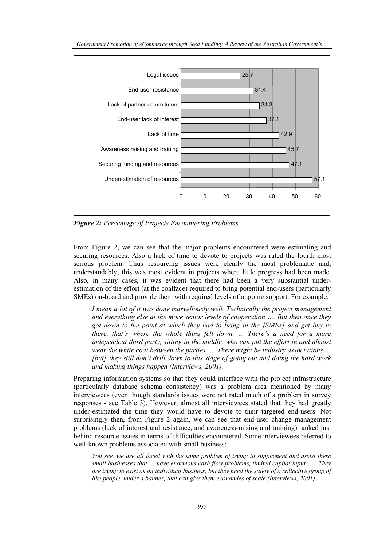

*Government Promotion of eCommerce through Seed Funding: A Review of the Australian Government's ...* 

*Figure 2: Percentage of Projects Encountering Problems* 

From Figure 2, we can see that the major problems encountered were estimating and securing resources. Also a lack of time to devote to projects was rated the fourth most serious problem. Thus resourcing issues were clearly the most problematic and, understandably, this was most evident in projects where little progress had been made. Also, in many cases, it was evident that there had been a very substantial underestimation of the effort (at the coalface) required to bring potential end-users (particularly SMEs) on-board and provide them with required levels of ongoing support. For example:

*I mean a lot of it was done marvellously well. Technically the project management and everything else at the more senior levels of cooperation …. But then once they got down to the point at which they had to bring in the [SMEs] and get buy-in there, that's where the whole thing fell down. … There's a need for a more independent third party, sitting in the middle, who can put the effort in and almost wear the white coat between the parties. … There might be industry associations … [but] they still don't drill down to this stage of going out and doing the hard work and making things happen (Interviews, 2001).* 

Preparing information systems so that they could interface with the project infrastructure (particularly database schema consistency) was a problem area mentioned by many interviewees (even though standards issues were not rated much of a problem in survey responses - see Table 3). However, almost all interviewees stated that they had greatly under-estimated the time they would have to devote to their targeted end-users. Not surprisingly then, from Figure 2 again, we can see that end-user change management problems (lack of interest and resistance, and awareness-raising and training) ranked just behind resource issues in terms of difficulties encountered. Some interviewees referred to well-known problems associated with small business:

*You see, we are all faced with the same problem of trying to supplement and assist these small businesses that … have enormous cash flow problems, limited capital input … . They are trying to exist as an individual business, but they need the safety of a collective group of like people, under a banner, that can give them economies of scale (Interviews, 2001).*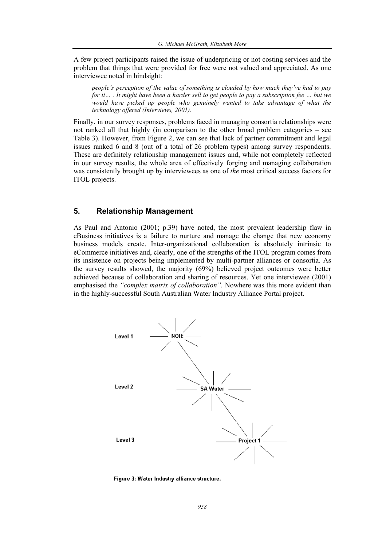A few project participants raised the issue of underpricing or not costing services and the problem that things that were provided for free were not valued and appreciated. As one interviewee noted in hindsight:

*people's perception of the value of something is clouded by how much they've had to pay for it… . It might have been a harder sell to get people to pay a subscription fee … but we would have picked up people who genuinely wanted to take advantage of what the technology offered (Interviews, 2001).* 

Finally, in our survey responses, problems faced in managing consortia relationships were not ranked all that highly (in comparison to the other broad problem categories – see Table 3). However, from Figure 2, we can see that lack of partner commitment and legal issues ranked 6 and 8 (out of a total of 26 problem types) among survey respondents. These are definitely relationship management issues and, while not completely reflected in our survey results, the whole area of effectively forging and managing collaboration was consistently brought up by interviewees as one of *the* most critical success factors for ITOL projects.

# **5. Relationship Management**

As Paul and Antonio (2001; p.39) have noted, the most prevalent leadership flaw in eBusiness initiatives is a failure to nurture and manage the change that new economy business models create. Inter-organizational collaboration is absolutely intrinsic to eCommerce initiatives and, clearly, one of the strengths of the ITOL program comes from its insistence on projects being implemented by multi-partner alliances or consortia. As the survey results showed, the majority (69%) believed project outcomes were better achieved because of collaboration and sharing of resources. Yet one interviewee (2001) emphasised the *"complex matrix of collaboration".* Nowhere was this more evident than in the highly-successful South Australian Water Industry Alliance Portal project.



Figure 3: Water Industry alliance structure.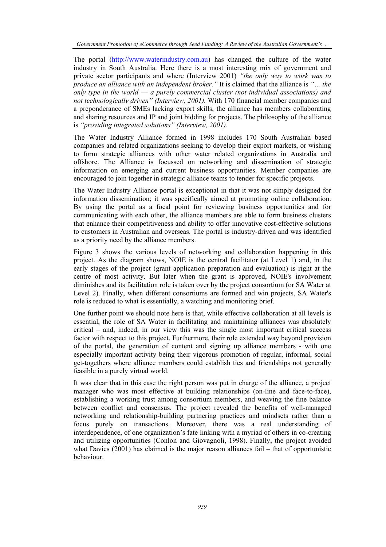The portal (http://www.waterindustry.com.au) has changed the culture of the water industry in South Australia. Here there is a most interesting mix of government and private sector participants and where (Interview 2001) *"the only way to work was to produce an alliance with an independent broker."* It is claimed that the alliance is *"… the only type in the world* — *a purely commercial cluster (not individual associations) and not technologically driven" (Interview, 2001).* With 170 financial member companies and a preponderance of SMEs lacking export skills, the alliance has members collaborating and sharing resources and IP and joint bidding for projects. The philosophy of the alliance is *"providing integrated solutions" (Interview, 2001).*

The Water Industry Alliance formed in 1998 includes 170 South Australian based companies and related organizations seeking to develop their export markets, or wishing to form strategic alliances with other water related organizations in Australia and offshore. The Alliance is focussed on networking and dissemination of strategic information on emerging and current business opportunities. Member companies are encouraged to join together in strategic alliance teams to tender for specific projects.

The Water Industry Alliance portal is exceptional in that it was not simply designed for information dissemination; it was specifically aimed at promoting online collaboration. By using the portal as a focal point for reviewing business opportunities and for communicating with each other, the alliance members are able to form business clusters that enhance their competitiveness and ability to offer innovative cost-effective solutions to customers in Australian and overseas. The portal is industry-driven and was identified as a priority need by the alliance members.

Figure 3 shows the various levels of networking and collaboration happening in this project. As the diagram shows, NOIE is the central facilitator (at Level 1) and, in the early stages of the project (grant application preparation and evaluation) is right at the centre of most activity. But later when the grant is approved, NOIE's involvement diminishes and its facilitation role is taken over by the project consortium (or SA Water at Level 2). Finally, when different consortiums are formed and win projects, SA Water's role is reduced to what is essentially, a watching and monitoring brief.

One further point we should note here is that, while effective collaboration at all levels is essential, the role of SA Water in facilitating and maintaining alliances was absolutely critical – and, indeed, in our view this was the single most important critical success factor with respect to this project. Furthermore, their role extended way beyond provision of the portal, the generation of content and signing up alliance members - with one especially important activity being their vigorous promotion of regular, informal, social get-togethers where alliance members could establish ties and friendships not generally feasible in a purely virtual world.

It was clear that in this case the right person was put in charge of the alliance, a project manager who was most effective at building relationships (on-line and face-to-face), establishing a working trust among consortium members, and weaving the fine balance between conflict and consensus. The project revealed the benefits of well-managed networking and relationship-building partnering practices and mindsets rather than a focus purely on transactions. Moreover, there was a real understanding of interdependence, of one organization's fate linking with a myriad of others in co-creating and utilizing opportunities (Conlon and Giovagnoli, 1998). Finally, the project avoided what Davies (2001) has claimed is the major reason alliances fail – that of opportunistic behaviour.